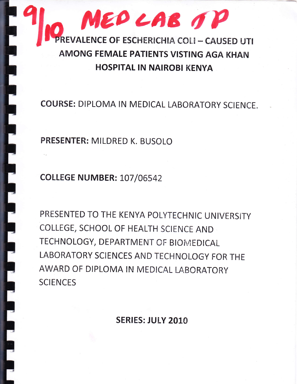

**COURSE: DIPLOMA IN MEDICAL LABORATORY SCIENCE.** 

PRESENTER: MILDRED K. BUSOLO

**COLLEGE NUMBER: 107/06542** 

PRESENTED TO THE KENYA POLYTECHNIC UNIVERSITY COLLEGE, SCHOOL OF HEALTH SCIENCE AND TECHNOLOGY, DEPARTMENT OF BIOMEDICAL LABORATORY SCIENCES AND TECHNOLOGY FOR THE AWARD OF DIPLOMA IN MEDICAL LABORATORY **SCIENCES** 

**SERIES: JULY 2010**